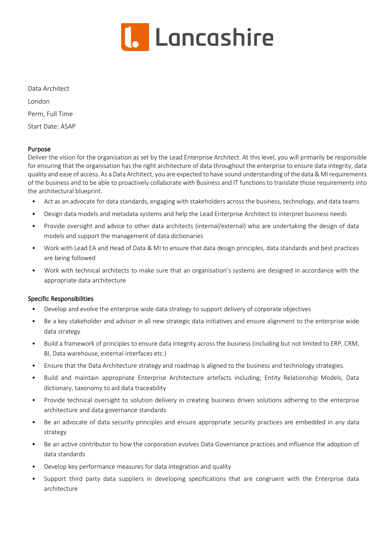

Data Architect

London

Perm, Full Time

Start Date: ASAP

### Purpose

Deliver the vision for the organisation as set by the Lead Enterprise Architect. At this level, you will primarily be responsible for ensuring that the organisation has the right architecture of data throughout the enterprise to ensure data integrity, data quality and ease of access. As a Data Architect, you are expected to have sound understanding of the data & MI requirements of the business and to be able to proactively collaborate with Business and IT functions to translate those requirements into the architectural blueprint.

- Act as an advocate for data standards, engaging with stakeholders across the business, technology, and data teams
- Design data models and metadata systems and help the Lead Enterprise Architect to interpret business needs
- Provide oversight and advice to other data architects (internal/external) who are undertaking the design of data models and support the management of data dictionaries
- Work with Lead EA and Head of Data & MI to ensure that data design principles, data standards and best practices are being followed
- Work with technical architects to make sure that an organisation's systems are designed in accordance with the appropriate data architecture

## Specific Responsibilities

- Develop and evolve the enterprise wide data strategy to support delivery of corporate objectives
- Be a key stakeholder and advisor in all new strategic data initiatives and ensure alignment to the enterprise wide data strategy
- Build a framework of principles to ensure data integrity across the business (including but not limited to ERP, CRM, BI, Data warehouse, external interfaces etc.)
- Ensure that the Data Architecture strategy and roadmap is aligned to the business and technology strategies.
- Build and maintain appropriate Enterprise Architecture artefacts including; Entity Relationship Models, Data dictionary, taxonomy to aid data traceability
- Provide technical oversight to solution delivery in creating business driven solutions adhering to the enterprise architecture and data governance standards
- Be an advocate of data security principles and ensure appropriate security practices are embedded in any data strategy
- Be an active contributor to how the corporation evolves Data Governance practices and influence the adoption of data standards
- Develop key performance measures for data integration and quality
- Support third party data suppliers in developing specifications that are congruent with the Enterprise data architecture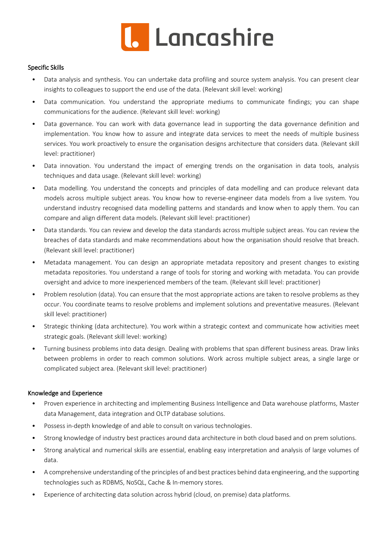

#### Specific Skills

- Data analysis and synthesis. You can undertake data profiling and source system analysis. You can present clear insights to colleagues to support the end use of the data. (Relevant skill level: working)
- Data communication. You understand the appropriate mediums to communicate findings; you can shape communications for the audience. (Relevant skill level: working)
- Data governance. You can work with data governance lead in supporting the data governance definition and implementation. You know how to assure and integrate data services to meet the needs of multiple business services. You work proactively to ensure the organisation designs architecture that considers data. (Relevant skill level: practitioner)
- Data innovation. You understand the impact of emerging trends on the organisation in data tools, analysis techniques and data usage. (Relevant skill level: working)
- Data modelling. You understand the concepts and principles of data modelling and can produce relevant data models across multiple subject areas. You know how to reverse-engineer data models from a live system. You understand industry recognised data modelling patterns and standards and know when to apply them. You can compare and align different data models. (Relevant skill level: practitioner)
- Data standards. You can review and develop the data standards across multiple subject areas. You can review the breaches of data standards and make recommendations about how the organisation should resolve that breach. (Relevant skill level: practitioner)
- Metadata management. You can design an appropriate metadata repository and present changes to existing metadata repositories. You understand a range of tools for storing and working with metadata. You can provide oversight and advice to more inexperienced members of the team. (Relevant skill level: practitioner)
- Problem resolution (data). You can ensure that the most appropriate actions are taken to resolve problems as they occur. You coordinate teams to resolve problems and implement solutions and preventative measures. (Relevant skill level: practitioner)
- Strategic thinking (data architecture). You work within a strategic context and communicate how activities meet strategic goals. (Relevant skill level: working)
- Turning business problems into data design. Dealing with problems that span different business areas. Draw links between problems in order to reach common solutions. Work across multiple subject areas, a single large or complicated subject area. (Relevant skill level: practitioner)

#### Knowledge and Experience

- Proven experience in architecting and implementing Business Intelligence and Data warehouse platforms, Master data Management, data integration and OLTP database solutions.
- Possess in-depth knowledge of and able to consult on various technologies.
- Strong knowledge of industry best practices around data architecture in both cloud based and on prem solutions.
- Strong analytical and numerical skills are essential, enabling easy interpretation and analysis of large volumes of data.
- A comprehensive understanding of the principles of and best practices behind data engineering, and the supporting technologies such as RDBMS, NoSQL, Cache & In-memory stores.
- Experience of architecting data solution across hybrid (cloud, on premise) data platforms.